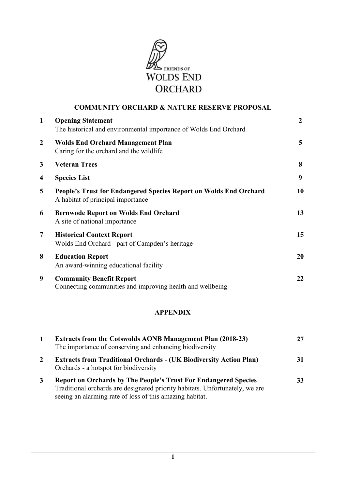

#### **COMMUNITY ORCHARD & NATURE RESERVE PROPOSAL**

| $\mathbf{1}$   | <b>Opening Statement</b><br>The historical and environmental importance of Wolds End Orchard           | $\boldsymbol{2}$ |
|----------------|--------------------------------------------------------------------------------------------------------|------------------|
| $\overline{2}$ | <b>Wolds End Orchard Management Plan</b><br>Caring for the orchard and the wildlife                    | $\overline{5}$   |
| 3              | <b>Veteran Trees</b>                                                                                   | 8                |
| 4              | <b>Species List</b>                                                                                    | 9                |
| 5              | People's Trust for Endangered Species Report on Wolds End Orchard<br>A habitat of principal importance | 10               |
| 6              | <b>Bernwode Report on Wolds End Orchard</b><br>A site of national importance                           | 13               |
| $\overline{7}$ | <b>Historical Context Report</b><br>Wolds End Orchard - part of Campden's heritage                     | 15               |
| 8              | <b>Education Report</b><br>An award-winning educational facility                                       | 20               |
| 9              | <b>Community Benefit Report</b><br>Connecting communities and improving health and wellbeing           | 22               |

## **APPENDIX**

| 1            | <b>Extracts from the Cotswolds AONB Management Plan (2018-23)</b><br>The importance of conserving and enhancing biodiversity                                                                                       |    |
|--------------|--------------------------------------------------------------------------------------------------------------------------------------------------------------------------------------------------------------------|----|
| $\mathbf{2}$ | <b>Extracts from Traditional Orchards - (UK Biodiversity Action Plan)</b><br>Orchards - a hotspot for biodiversity                                                                                                 | 31 |
| 3            | <b>Report on Orchards by The People's Trust For Endangered Species</b><br>Traditional orchards are designated priority habitats. Unfortunately, we are<br>seeing an alarming rate of loss of this amazing habitat. | 33 |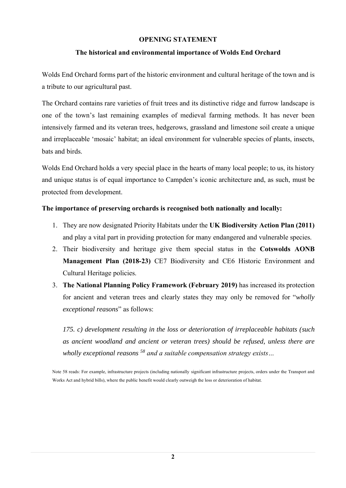#### **OPENING STATEMENT**

#### **The historical and environmental importance of Wolds End Orchard**

Wolds End Orchard forms part of the historic environment and cultural heritage of the town and is a tribute to our agricultural past.

The Orchard contains rare varieties of fruit trees and its distinctive ridge and furrow landscape is one of the town's last remaining examples of medieval farming methods. It has never been intensively farmed and its veteran trees, hedgerows, grassland and limestone soil create a unique and irreplaceable 'mosaic' habitat; an ideal environment for vulnerable species of plants, insects, bats and birds.

Wolds End Orchard holds a very special place in the hearts of many local people; to us, its history and unique status is of equal importance to Campden's iconic architecture and, as such, must be protected from development.

#### **The importance of preserving orchards is recognised both nationally and locally:**

- 1. They are now designated Priority Habitats under the **UK Biodiversity Action Plan (2011)** and play a vital part in providing protection for many endangered and vulnerable species.
- 2. Their biodiversity and heritage give them special status in the **Cotswolds AONB Management Plan (2018-23)** CE7 Biodiversity and CE6 Historic Environment and Cultural Heritage policies.
- 3. **The National Planning Policy Framework (February 2019)** has increased its protection for ancient and veteran trees and clearly states they may only be removed for "*wholly exceptional reasons*" as follows:

*175. c) development resulting in the loss or deterioration of irreplaceable habitats (such as ancient woodland and ancient or veteran trees) should be refused, unless there are wholly exceptional reasons <sup>58</sup> and a suitable compensation strategy exists…* 

Note 58 reads: For example, infrastructure projects (including nationally significant infrastructure projects, orders under the Transport and Works Act and hybrid bills), where the public benefit would clearly outweigh the loss or deterioration of habitat.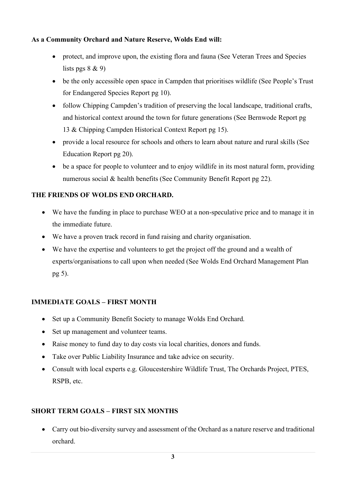## **As a Community Orchard and Nature Reserve, Wolds End will:**

- protect, and improve upon, the existing flora and fauna (See Veteran Trees and Species lists pgs  $8 \& 9$ )
- be the only accessible open space in Campden that prioritises wildlife (See People's Trust for Endangered Species Report pg 10).
- follow Chipping Campden's tradition of preserving the local landscape, traditional crafts, and historical context around the town for future generations (See Bernwode Report pg 13 & Chipping Campden Historical Context Report pg 15).
- provide a local resource for schools and others to learn about nature and rural skills (See Education Report pg 20).
- be a space for people to volunteer and to enjoy wildlife in its most natural form, providing numerous social & health benefits (See Community Benefit Report pg 22).

## **THE FRIENDS OF WOLDS END ORCHARD.**

- We have the funding in place to purchase WEO at a non-speculative price and to manage it in the immediate future.
- We have a proven track record in fund raising and charity organisation.
- We have the expertise and volunteers to get the project off the ground and a wealth of experts/organisations to call upon when needed (See Wolds End Orchard Management Plan pg 5).

## **IMMEDIATE GOALS – FIRST MONTH**

- Set up a Community Benefit Society to manage Wolds End Orchard.
- Set up management and volunteer teams.
- Raise money to fund day to day costs via local charities, donors and funds.
- Take over Public Liability Insurance and take advice on security.
- Consult with local experts e.g. Gloucestershire Wildlife Trust, The Orchards Project, PTES, RSPB, etc.

## **SHORT TERM GOALS – FIRST SIX MONTHS**

• Carry out bio-diversity survey and assessment of the Orchard as a nature reserve and traditional orchard.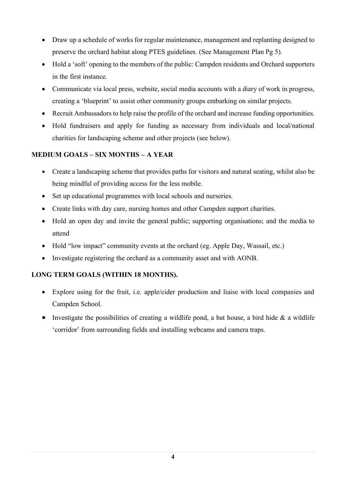- Draw up a schedule of works for regular maintenance, management and replanting designed to preserve the orchard habitat along PTES guidelines. (See Management Plan Pg 5).
- Hold a 'soft' opening to the members of the public: Campden residents and Orchard supporters in the first instance.
- Communicate via local press, website, social media accounts with a diary of work in progress, creating a 'blueprint' to assist other community groups embarking on similar projects.
- Recruit Ambassadors to help raise the profile of the orchard and increase funding opportunities.
- Hold fundraisers and apply for funding as necessary from individuals and local/national charities for landscaping scheme and other projects (see below).

## **MEDIUM GOALS – SIX MONTHS – A YEAR**

- Create a landscaping scheme that provides paths for visitors and natural seating, whilst also be being mindful of providing access for the less mobile.
- Set up educational programmes with local schools and nurseries.
- Create links with day care, nursing homes and other Campden support charities.
- Hold an open day and invite the general public; supporting organisations; and the media to attend
- Hold "low impact" community events at the orchard (eg. Apple Day, Wassail, etc.)
- Investigate registering the orchard as a community asset and with AONB.

## **LONG TERM GOALS (WITHIN 18 MONTHS).**

- Explore using for the fruit, i.e. apple/cider production and liaise with local companies and Campden School.
- Investigate the possibilities of creating a wildlife pond, a bat house, a bird hide  $\&$  a wildlife 'corridor' from surrounding fields and installing webcams and camera traps.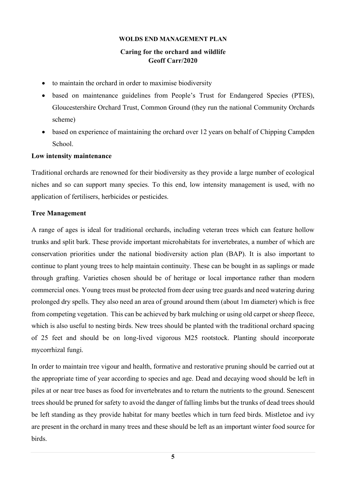#### **WOLDS END MANAGEMENT PLAN**

#### **Caring for the orchard and wildlife Geoff Carr/2020**

- to maintain the orchard in order to maximise biodiversity
- based on maintenance guidelines from People's Trust for Endangered Species (PTES), Gloucestershire Orchard Trust, Common Ground (they run the national Community Orchards scheme)
- based on experience of maintaining the orchard over 12 years on behalf of Chipping Campden School.

#### **Low intensity maintenance**

Traditional orchards are renowned for their biodiversity as they provide a large number of ecological niches and so can support many species. To this end, low intensity management is used, with no application of fertilisers, herbicides or pesticides.

#### **Tree Management**

A range of ages is ideal for traditional orchards, including veteran trees which can feature hollow trunks and split bark. These provide important microhabitats for invertebrates, a number of which are conservation priorities under the national biodiversity action plan (BAP). It is also important to continue to plant young trees to help maintain continuity. These can be bought in as saplings or made through grafting. Varieties chosen should be of heritage or local importance rather than modern commercial ones. Young trees must be protected from deer using tree guards and need watering during prolonged dry spells. They also need an area of ground around them (about 1m diameter) which is free from competing vegetation. This can be achieved by bark mulching or using old carpet or sheep fleece, which is also useful to nesting birds. New trees should be planted with the traditional orchard spacing of 25 feet and should be on long-lived vigorous M25 rootstock. Planting should incorporate mycorrhizal fungi.

In order to maintain tree vigour and health, formative and restorative pruning should be carried out at the appropriate time of year according to species and age. Dead and decaying wood should be left in piles at or near tree bases as food for invertebrates and to return the nutrients to the ground. Senescent trees should be pruned for safety to avoid the danger of falling limbs but the trunks of dead trees should be left standing as they provide habitat for many beetles which in turn feed birds. Mistletoe and ivy are present in the orchard in many trees and these should be left as an important winter food source for **birds**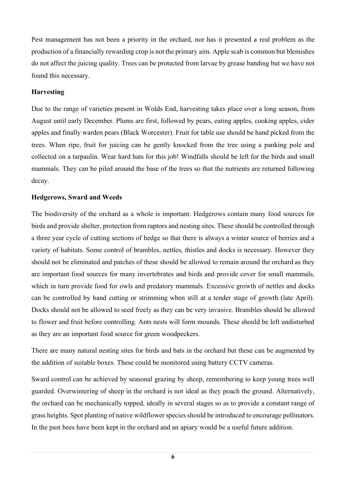Pest management has not been a priority in the orchard, nor has it presented a real problem as the production of a financially rewarding crop is not the primary aim. Apple scab is common but blemishes do not affect the juicing quality. Trees can be protected from larvae by grease banding but we have not found this necessary.

#### **Harvesting**

Due to the range of varieties present in Wolds End, harvesting takes place over a long season, from August until early December. Plums are first, followed by pears, eating apples, cooking apples, cider apples and finally warden pears (Black Worcester). Fruit for table use should be hand picked from the trees. When ripe, fruit for juicing can be gently knocked from the tree using a panking pole and collected on a tarpaulin. Wear hard hats for this job! Windfalls should be left for the birds and small mammals. They can be piled around the base of the trees so that the nutrients are returned following decay.

#### **Hedgerows, Sward and Weeds**

The biodiversity of the orchard as a whole is important. Hedgerows contain many food sources for birds and provide shelter, protection from raptors and nesting sites. These should be controlled through a three year cycle of cutting sections of hedge so that there is always a winter source of berries and a variety of habitats. Some control of brambles, nettles, thistles and docks is necessary. However they should not be eliminated and patches of these should be allowed to remain around the orchard as they are important food sources for many invertebrates and birds and provide cover for small mammals, which in turn provide food for owls and predatory mammals. Excessive growth of nettles and docks can be controlled by hand cutting or strimming when still at a tender stage of growth (late April). Docks should not be allowed to seed freely as they can be very invasive. Brambles should be allowed to flower and fruit before controlling. Ants nests will form mounds. These should be left undisturbed as they are an important food source for green woodpeckers.

There are many natural nesting sites for birds and bats in the orchard but these can be augmented by the addition of suitable boxes. These could be monitored using battery CCTV cameras.

Sward control can be achieved by seasonal grazing by sheep, remembering to keep young trees well guarded. Overwintering of sheep in the orchard is not ideal as they poach the ground. Alternatively, the orchard can be mechanically topped, ideally in several stages so as to provide a constant range of grass heights. Spot planting of native wildflower species should be introduced to encourage pollinators. In the past bees have been kept in the orchard and an apiary would be a useful future addition.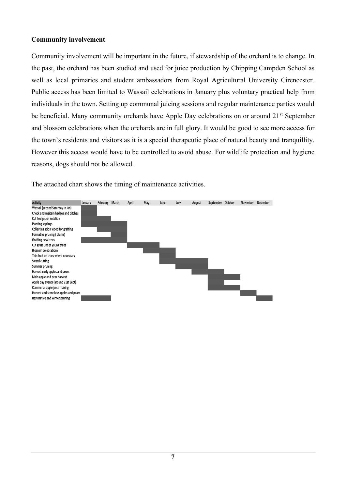#### **Community involvement**

Community involvement will be important in the future, if stewardship of the orchard is to change. In the past, the orchard has been studied and used for juice production by Chipping Campden School as well as local primaries and student ambassadors from Royal Agricultural University Cirencester. Public access has been limited to Wassail celebrations in January plus voluntary practical help from individuals in the town. Setting up communal juicing sessions and regular maintenance parties would be beneficial. Many community orchards have Apple Day celebrations on or around 21<sup>st</sup> September and blossom celebrations when the orchards are in full glory. It would be good to see more access for the town's residents and visitors as it is a special therapeutic place of natural beauty and tranquillity. However this access would have to be controlled to avoid abuse. For wildlife protection and hygiene reasons, dogs should not be allowed.

The attached chart shows the timing of maintenance activities.

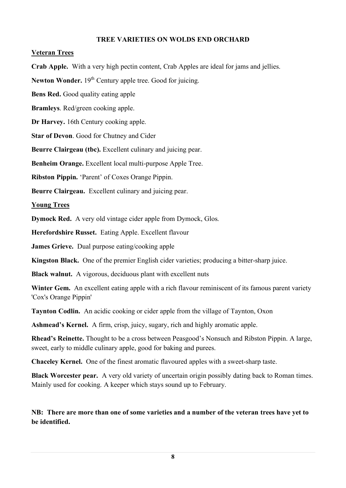#### **TREE VARIETIES ON WOLDS END ORCHARD**

#### **Veteran Trees**

**Crab Apple.** With a very high pectin content, Crab Apples are ideal for jams and jellies.

Newton Wonder. 19<sup>th</sup> Century apple tree. Good for juicing.

**Bens Red.** Good quality eating apple

**Bramleys**. Red/green cooking apple.

**Dr Harvey.** 16th Century cooking apple.

**Star of Devon**. Good for Chutney and Cider

**Beurre Clairgeau (thc).** Excellent culinary and juicing pear.

**Benheim Orange.** Excellent local multi-purpose Apple Tree.

**Ribston Pippin.** 'Parent' of Coxes Orange Pippin.

**Beurre Clairgeau.** Excellent culinary and juicing pear.

#### **Young Trees**

**Dymock Red.** A very old vintage cider apple from Dymock, Glos.

**Herefordshire Russet.** Eating Apple. Excellent flavour

**James Grieve.** Dual purpose eating/cooking apple

**Kingston Black.** One of the premier English cider varieties; producing a bitter-sharp juice.

**Black walnut.** A vigorous, deciduous plant with excellent nuts

**Winter Gem.** An excellent eating apple with a rich flavour reminiscent of its famous parent variety 'Cox's Orange Pippin'

**Taynton Codlin.** An acidic cooking or cider apple from the village of Taynton, Oxon

**Ashmead's Kernel.** A firm, crisp, juicy, sugary, rich and highly aromatic apple.

**Rhead's Reinette.** Thought to be a cross between Peasgood's Nonsuch and Ribston Pippin. A large, sweet, early to middle culinary apple, good for baking and purees.

**Chaceley Kernel.** One of the finest aromatic flavoured apples with a sweet-sharp taste.

**Black Worcester pear.** A very old variety of uncertain origin possibly dating back to Roman times. Mainly used for cooking. A keeper which stays sound up to February.

**NB: There are more than one of some varieties and a number of the veteran trees have yet to be identified.**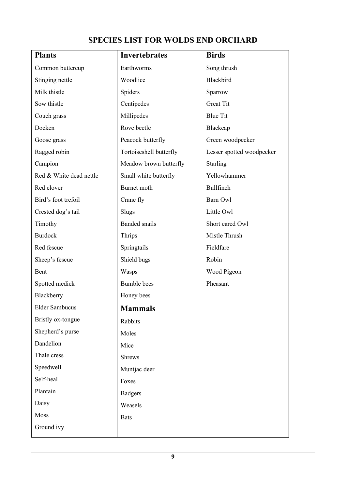# **SPECIES LIST FOR WOLDS END ORCHARD**

| <b>Plants</b>           | <b>Invertebrates</b>    | <b>Birds</b>              |
|-------------------------|-------------------------|---------------------------|
| Common buttercup        | Earthworms              | Song thrush               |
| Stinging nettle         | Woodlice                | Blackbird                 |
| Milk thistle            | Spiders                 | Sparrow                   |
| Sow thistle             | Centipedes              | <b>Great Tit</b>          |
| Couch grass             | Millipedes              | <b>Blue Tit</b>           |
| Docken                  | Rove beetle             | Blackcap                  |
| Goose grass             | Peacock butterfly       | Green woodpecker          |
| Ragged robin            | Tortoiseshell butterfly | Lesser spotted woodpecker |
| Campion                 | Meadow brown butterfly  | Starling                  |
| Red & White dead nettle | Small white butterfly   | Yellowhammer              |
| Red clover              | Burnet moth             | Bullfinch                 |
| Bird's foot trefoil     | Crane fly               | Barn Owl                  |
| Crested dog's tail      | Slugs                   | Little Owl                |
| Timothy                 | <b>Banded</b> snails    | Short eared Owl           |
| <b>Burdock</b>          | Thrips                  | Mistle Thrush             |
| Red fescue              | Springtails             | Fieldfare                 |
| Sheep's fescue          | Shield bugs             | Robin                     |
| Bent                    | Wasps                   | Wood Pigeon               |
| Spotted medick          | <b>Bumble</b> bees      | Pheasant                  |
| Blackberry              | Honey bees              |                           |
| Elder Sambucus          | <b>Mammals</b>          |                           |
| Bristly ox-tongue       | Rabbits                 |                           |
| Shepherd's purse        | Moles                   |                           |
| Dandelion               | Mice                    |                           |
| Thale cress             | <b>Shrews</b>           |                           |
| Speedwell               | Muntjac deer            |                           |
| Self-heal               | Foxes                   |                           |
| Plantain                | <b>Badgers</b>          |                           |
| Daisy                   | Weasels                 |                           |
| Moss                    | <b>Bats</b>             |                           |
| Ground ivy              |                         |                           |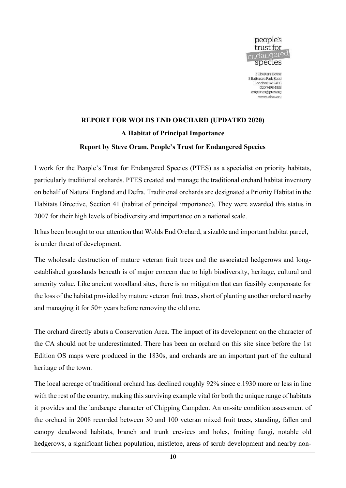

3 Cloisters House 8 Battersea Park Road London SW8 4BG<br>020 7498 4533 enquiries@ptes.org www.ptes.org

# **REPORT FOR WOLDS END ORCHARD (UPDATED 2020) A Habitat of Principal Importance Report by Steve Oram, People's Trust for Endangered Species**

I work for the People's Trust for Endangered Species (PTES) as a specialist on priority habitats, particularly traditional orchards. PTES created and manage the traditional orchard habitat inventory on behalf of Natural England and Defra. Traditional orchards are designated a Priority Habitat in the Habitats Directive, Section 41 (habitat of principal importance). They were awarded this status in 2007 for their high levels of biodiversity and importance on a national scale.

It has been brought to our attention that Wolds End Orchard, a sizable and important habitat parcel, is under threat of development.

The wholesale destruction of mature veteran fruit trees and the associated hedgerows and longestablished grasslands beneath is of major concern due to high biodiversity, heritage, cultural and amenity value. Like ancient woodland sites, there is no mitigation that can feasibly compensate for the loss of the habitat provided by mature veteran fruit trees, short of planting another orchard nearby and managing it for 50+ years before removing the old one.

The orchard directly abuts a Conservation Area. The impact of its development on the character of the CA should not be underestimated. There has been an orchard on this site since before the 1st Edition OS maps were produced in the 1830s, and orchards are an important part of the cultural heritage of the town.

The local acreage of traditional orchard has declined roughly 92% since c.1930 more or less in line with the rest of the country, making this surviving example vital for both the unique range of habitats it provides and the landscape character of Chipping Campden. An on-site condition assessment of the orchard in 2008 recorded between 30 and 100 veteran mixed fruit trees, standing, fallen and canopy deadwood habitats, branch and trunk crevices and holes, fruiting fungi, notable old hedgerows, a significant lichen population, mistletoe, areas of scrub development and nearby non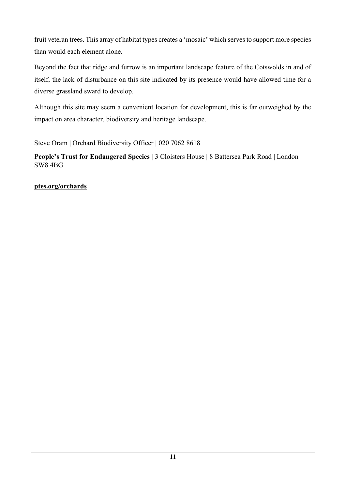fruit veteran trees. This array of habitat types creates a 'mosaic' which serves to support more species than would each element alone.

Beyond the fact that ridge and furrow is an important landscape feature of the Cotswolds in and of itself, the lack of disturbance on this site indicated by its presence would have allowed time for a diverse grassland sward to develop.

Although this site may seem a convenient location for development, this is far outweighed by the impact on area character, biodiversity and heritage landscape.

Steve Oram **|** Orchard Biodiversity Officer **|** 020 7062 8618

**People's Trust for Endangered Species |** 3 Cloisters House **|** 8 Battersea Park Road **|** London **|**  SW8 4BG

**[ptes.org/orchards](http://www.ptes.org/orchards)**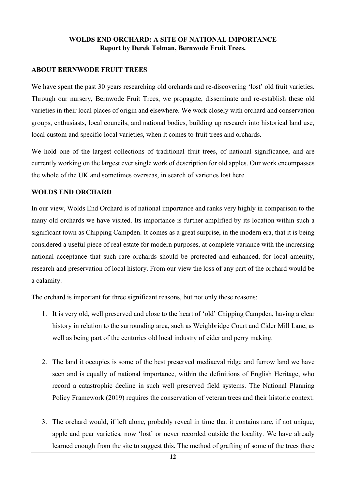#### **WOLDS END ORCHARD: A SITE OF NATIONAL IMPORTANCE Report by Derek Tolman, Bernwode Fruit Trees.**

#### **ABOUT BERNWODE FRUIT TREES**

We have spent the past 30 years researching old orchards and re-discovering 'lost' old fruit varieties. Through our nursery, Bernwode Fruit Trees, we propagate, disseminate and re-establish these old varieties in their local places of origin and elsewhere. We work closely with orchard and conservation groups, enthusiasts, local councils, and national bodies, building up research into historical land use, local custom and specific local varieties, when it comes to fruit trees and orchards.

We hold one of the largest collections of traditional fruit trees, of national significance, and are currently working on the largest ever single work of description for old apples. Our work encompasses the whole of the UK and sometimes overseas, in search of varieties lost here.

#### **WOLDS END ORCHARD**

In our view, Wolds End Orchard is of national importance and ranks very highly in comparison to the many old orchards we have visited. Its importance is further amplified by its location within such a significant town as Chipping Campden. It comes as a great surprise, in the modern era, that it is being considered a useful piece of real estate for modern purposes, at complete variance with the increasing national acceptance that such rare orchards should be protected and enhanced, for local amenity, research and preservation of local history. From our view the loss of any part of the orchard would be a calamity.

The orchard is important for three significant reasons, but not only these reasons:

- 1. It is very old, well preserved and close to the heart of 'old' Chipping Campden, having a clear history in relation to the surrounding area, such as Weighbridge Court and Cider Mill Lane, as well as being part of the centuries old local industry of cider and perry making.
- 2. The land it occupies is some of the best preserved mediaeval ridge and furrow land we have seen and is equally of national importance, within the definitions of English Heritage, who record a catastrophic decline in such well preserved field systems. The National Planning Policy Framework (2019) requires the conservation of veteran trees and their historic context.
- 3. The orchard would, if left alone, probably reveal in time that it contains rare, if not unique, apple and pear varieties, now 'lost' or never recorded outside the locality. We have already learned enough from the site to suggest this. The method of grafting of some of the trees there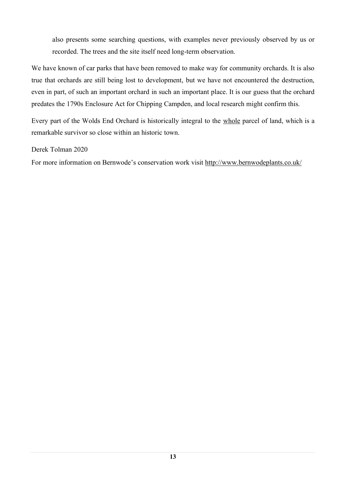also presents some searching questions, with examples never previously observed by us or recorded. The trees and the site itself need long-term observation.

We have known of car parks that have been removed to make way for community orchards. It is also true that orchards are still being lost to development, but we have not encountered the destruction, even in part, of such an important orchard in such an important place. It is our guess that the orchard predates the 1790s Enclosure Act for Chipping Campden, and local research might confirm this.

Every part of the Wolds End Orchard is historically integral to the whole parcel of land, which is a remarkable survivor so close within an historic town.

#### Derek Tolman 2020

For more information on Bernwode's conservation work visit<http://www.bernwodeplants.co.uk/>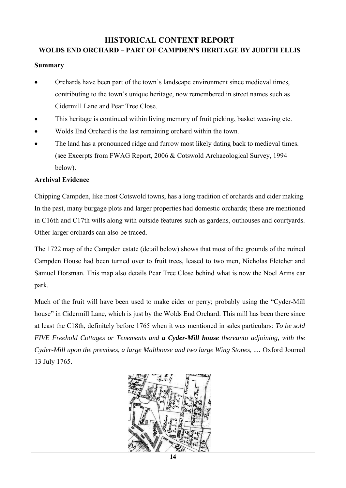# **HISTORICAL CONTEXT REPORT WOLDS END ORCHARD – PART OF CAMPDEN'S HERITAGE BY JUDITH ELLIS**

#### **Summary**

- Orchards have been part of the town's landscape environment since medieval times, contributing to the town's unique heritage, now remembered in street names such as Cidermill Lane and Pear Tree Close.
- This heritage is continued within living memory of fruit picking, basket weaving etc.
- Wolds End Orchard is the last remaining orchard within the town.
- The land has a pronounced ridge and furrow most likely dating back to medieval times. (see Excerpts from FWAG Report, 2006 & Cotswold Archaeological Survey, 1994 below).

## **Archival Evidence**

Chipping Campden, like most Cotswold towns, has a long tradition of orchards and cider making. In the past, many burgage plots and larger properties had domestic orchards; these are mentioned in C16th and C17th wills along with outside features such as gardens, outhouses and courtyards. Other larger orchards can also be traced.

The 1722 map of the Campden estate (detail below) shows that most of the grounds of the ruined Campden House had been turned over to fruit trees, leased to two men, Nicholas Fletcher and Samuel Horsman. This map also details Pear Tree Close behind what is now the Noel Arms car park.

Much of the fruit will have been used to make cider or perry; probably using the "Cyder-Mill house" in Cidermill Lane, which is just by the Wolds End Orchard. This mill has been there since at least the C18th, definitely before 1765 when it was mentioned in sales particulars: *To be sold FIVE Freehold Cottages or Tenements and a Cyder-Mill house thereunto adjoining, with the Cyder-Mill upon the premises, a large Malthouse and two large Wing Stones, ....* Oxford Journal 13 July 1765.

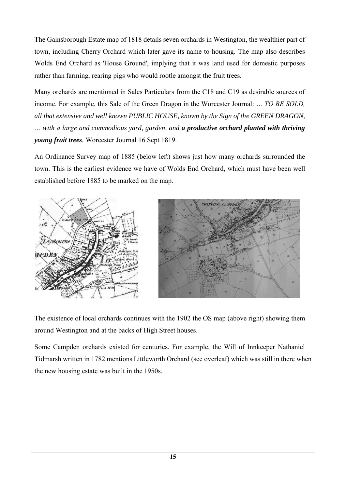The Gainsborough Estate map of 1818 details seven orchards in Westington, the wealthier part of town, including Cherry Orchard which later gave its name to housing. The map also describes Wolds End Orchard as 'House Ground', implying that it was land used for domestic purposes rather than farming, rearing pigs who would rootle amongst the fruit trees.

Many orchards are mentioned in Sales Particulars from the C18 and C19 as desirable sources of income. For example, this Sale of the Green Dragon in the Worcester Journal: *… TO BE SOLD, all that extensive and well known PUBLIC HOUSE, known by the Sign of the GREEN DRAGON, … with a large and commodious yard, garden, and a productive orchard planted with thriving young fruit trees.* Worcester Journal 16 Sept 1819.

An Ordinance Survey map of 1885 (below left) shows just how many orchards surrounded the town. This is the earliest evidence we have of Wolds End Orchard, which must have been well established before 1885 to be marked on the map.



The existence of local orchards continues with the 1902 the OS map (above right) showing them around Westington and at the backs of High Street houses.

Some Campden orchards existed for centuries. For example, the Will of Innkeeper Nathaniel Tidmarsh written in 1782 mentions Littleworth Orchard (see overleaf) which was still in there when the new housing estate was built in the 1950s.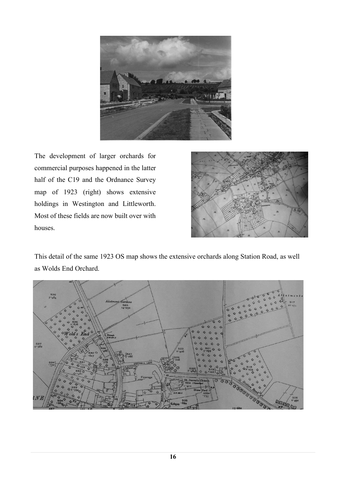

The development of larger orchards for commercial purposes happened in the latter half of the C19 and the Ordnance Survey map of 1923 (right) shows extensive holdings in Westington and Littleworth. Most of these fields are now built over with houses.



This detail of the same 1923 OS map shows the extensive orchards along Station Road, as well as Wolds End Orchard.

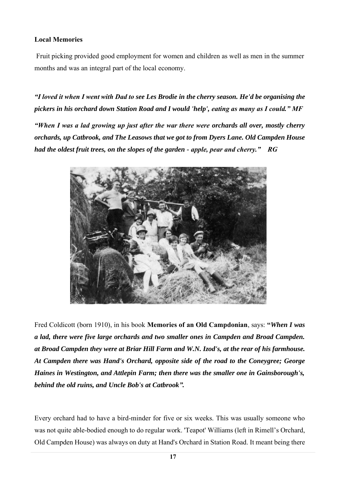#### **Local Memories**

Fruit picking provided good employment for women and children as well as men in the summer months and was an integral part of the local economy.

*"I loved it when I went with Dad to see Les Brodie in the cherry season. He'd be organising the pickers in his orchard down Station Road and I would 'help', eating as many as I could." MF*

*"When I was a lad growing up just after the war there were orchards all over, mostly cherry orchards, up Catbrook, and The Leasows that we got to from Dyers Lane. Old Campden House had the oldest fruit trees, on the slopes of the garden - apple, pear and cherry." RG*



Fred Coldicott (born 1910), in his book **Memories of an Old Campdonian**, says: **"***When I was a lad, there were five large orchards and two smaller ones in Campden and Broad Campden. at Broad Campden they were at Briar Hill Farm and W.N. Izod's, at the rear of his farmhouse. At Campden there was Hand's Orchard, opposite side of the road to the Coneygree; George Haines in Westington, and Attlepin Farm; then there was the smaller one in Gainsborough's, behind the old ruins, and Uncle Bob's at Catbrook".*

Every orchard had to have a bird-minder for five or six weeks. This was usually someone who was not quite able-bodied enough to do regular work. 'Teapot' Williams (left in Rimell's Orchard, Old Campden House) was always on duty at Hand's Orchard in Station Road. It meant being there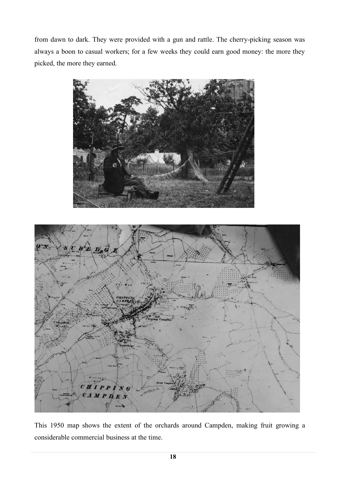from dawn to dark. They were provided with a gun and rattle. The cherry-picking season was always a boon to casual workers; for a few weeks they could earn good money: the more they picked, the more they earned.





This 1950 map shows the extent of the orchards around Campden, making fruit growing a considerable commercial business at the time.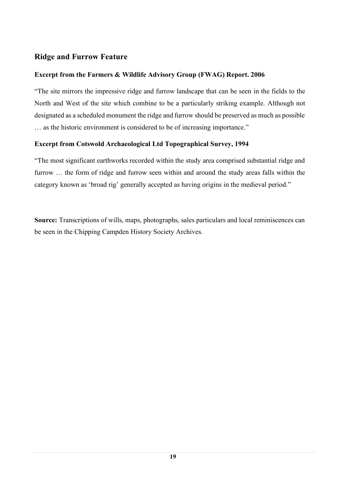# **Ridge and Furrow Feature**

## **Excerpt from the Farmers & Wildlife Advisory Group (FWAG) Report. 2006**

"The site mirrors the impressive ridge and furrow landscape that can be seen in the fields to the North and West of the site which combine to be a particularly striking example. Although not designated as a scheduled monument the ridge and furrow should be preserved as much as possible … as the historic environment is considered to be of increasing importance."

## **Excerpt from Cotswold Archaeological Ltd Topographical Survey, 1994**

"The most significant earthworks recorded within the study area comprised substantial ridge and furrow ... the form of ridge and furrow seen within and around the study areas falls within the category known as 'broad rig' generally accepted as having origins in the medieval period."

**Source:** Transcriptions of wills, maps, photographs, sales particulars and local reminiscences can be seen in the Chipping Campden History Society Archives.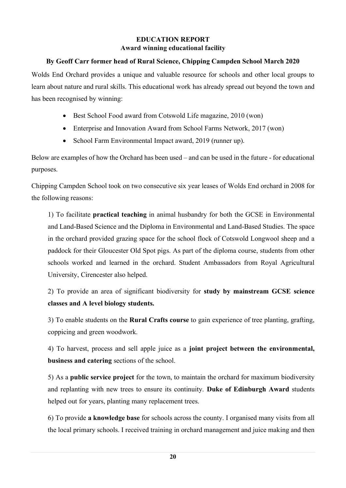## **EDUCATION REPORT Award winning educational facility**

## **By Geoff Carr former head of Rural Science, Chipping Campden School March 2020**

Wolds End Orchard provides a unique and valuable resource for schools and other local groups to learn about nature and rural skills. This educational work has already spread out beyond the town and has been recognised by winning:

- Best School Food award from Cotswold Life magazine, 2010 (won)
- Enterprise and Innovation Award from School Farms Network, 2017 (won)
- School Farm Environmental Impact award, 2019 (runner up).

Below are examples of how the Orchard has been used – and can be used in the future - for educational purposes.

Chipping Campden School took on two consecutive six year leases of Wolds End orchard in 2008 for the following reasons:

1) To facilitate **practical teaching** in animal husbandry for both the GCSE in Environmental and Land-Based Science and the Diploma in Environmental and Land-Based Studies. The space in the orchard provided grazing space for the school flock of Cotswold Longwool sheep and a paddock for their Gloucester Old Spot pigs. As part of the diploma course, students from other schools worked and learned in the orchard. Student Ambassadors from Royal Agricultural University, Cirencester also helped.

2) To provide an area of significant biodiversity for **study by mainstream GCSE science classes and A level biology students.**

3) To enable students on the **Rural Crafts course** to gain experience of tree planting, grafting, coppicing and green woodwork.

4) To harvest, process and sell apple juice as a **joint project between the environmental, business and catering** sections of the school.

5) As a **public service project** for the town, to maintain the orchard for maximum biodiversity and replanting with new trees to ensure its continuity. **Duke of Edinburgh Award** students helped out for years, planting many replacement trees.

6) To provide **a knowledge base** for schools across the county. I organised many visits from all the local primary schools. I received training in orchard management and juice making and then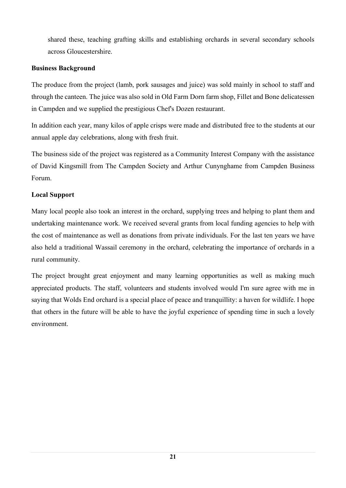shared these, teaching grafting skills and establishing orchards in several secondary schools across Gloucestershire.

## **Business Background**

The produce from the project (lamb, pork sausages and juice) was sold mainly in school to staff and through the canteen. The juice was also sold in Old Farm Dorn farm shop, Fillet and Bone delicatessen in Campden and we supplied the prestigious Chef's Dozen restaurant.

In addition each year, many kilos of apple crisps were made and distributed free to the students at our annual apple day celebrations, along with fresh fruit.

The business side of the project was registered as a Community Interest Company with the assistance of David Kingsmill from The Campden Society and Arthur Cunynghame from Campden Business Forum.

## **Local Support**

Many local people also took an interest in the orchard, supplying trees and helping to plant them and undertaking maintenance work. We received several grants from local funding agencies to help with the cost of maintenance as well as donations from private individuals. For the last ten years we have also held a traditional Wassail ceremony in the orchard, celebrating the importance of orchards in a rural community.

The project brought great enjoyment and many learning opportunities as well as making much appreciated products. The staff, volunteers and students involved would I'm sure agree with me in saying that Wolds End orchard is a special place of peace and tranquillity: a haven for wildlife. I hope that others in the future will be able to have the joyful experience of spending time in such a lovely environment.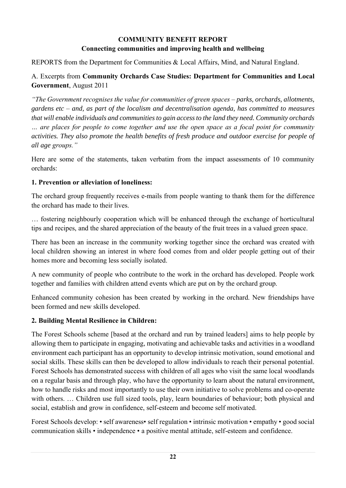# **COMMUNITY BENEFIT REPORT Connecting communities and improving health and wellbeing**

REPORTS from the Department for Communities & Local Affairs, Mind, and Natural England.

## A. Excerpts from **Community Orchards Case Studies: Department for Communities and Local Government**, August 2011

*"The Government recognises the value for communities of green spaces – parks, orchards, allotments, gardens etc – and, as part of the localism and decentralisation agenda, has committed to measures that will enable individuals and communities to gain access to the land they need. Community orchards … are places for people to come together and use the open space as a focal point for community activities. They also promote the health benefits of fresh produce and outdoor exercise for people of all age groups."*

Here are some of the statements, taken verbatim from the impact assessments of 10 community orchards:

## **1. Prevention or alleviation of loneliness:**

The orchard group frequently receives e-mails from people wanting to thank them for the difference the orchard has made to their lives.

… fostering neighbourly cooperation which will be enhanced through the exchange of horticultural tips and recipes, and the shared appreciation of the beauty of the fruit trees in a valued green space.

There has been an increase in the community working together since the orchard was created with local children showing an interest in where food comes from and older people getting out of their homes more and becoming less socially isolated.

A new community of people who contribute to the work in the orchard has developed. People work together and families with children attend events which are put on by the orchard group.

Enhanced community cohesion has been created by working in the orchard. New friendships have been formed and new skills developed.

## **2. Building Mental Resilience in Children:**

The Forest Schools scheme [based at the orchard and run by trained leaders] aims to help people by allowing them to participate in engaging, motivating and achievable tasks and activities in a woodland environment each participant has an opportunity to develop intrinsic motivation, sound emotional and social skills. These skills can then be developed to allow individuals to reach their personal potential. Forest Schools has demonstrated success with children of all ages who visit the same local woodlands on a regular basis and through play, who have the opportunity to learn about the natural environment, how to handle risks and most importantly to use their own initiative to solve problems and co-operate with others. ... Children use full sized tools, play, learn boundaries of behaviour; both physical and social, establish and grow in confidence, self-esteem and become self motivated.

Forest Schools develop: • self awareness• self regulation • intrinsic motivation • empathy • good social communication skills • independence • a positive mental attitude, self-esteem and confidence.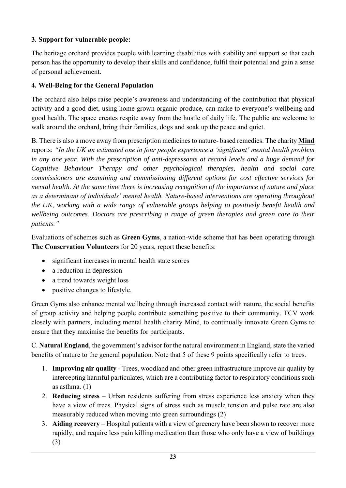# **3. Support for vulnerable people:**

The heritage orchard provides people with learning disabilities with stability and support so that each person has the opportunity to develop their skills and confidence, fulfil their potential and gain a sense of personal achievement.

## **4. Well-Being for the General Population**

The orchard also helps raise people's awareness and understanding of the contribution that physical activity and a good diet, using home grown organic produce, can make to everyone's wellbeing and good health. The space creates respite away from the hustle of daily life. The public are welcome to walk around the orchard, bring their families, dogs and soak up the peace and quiet.

B. There is also a move away from prescription medicines to nature- based remedies. The charity **[Mind](https://www.mind.org.uk/information-support/tips-for-everyday-living/nature-and-mental-health/about-ecotherapy-programmes/)** reports: *"In the UK an estimated one in four people experience a 'significant' mental health problem in any one year. With the prescription of anti-depressants at record levels and a huge demand for Cognitive Behaviour Therapy and other psychological therapies, health and social care commissioners are examining and commissioning different options for cost effective services for mental health. At the same time there is increasing recognition of the importance of nature and place as a determinant of individuals' mental health. Nature-based interventions are operating throughout the UK, working with a wide range of vulnerable groups helping to positively benefit health and wellbeing outcomes. Doctors are prescribing a range of green therapies and green care to their patients."*

Evaluations of schemes such as **Green Gyms**, a nation-wide scheme that has been operating through **The Conservation Volunteers** for 20 years, report these benefits:

- significant increases in mental health state scores
- a reduction in depression
- a trend towards weight loss
- positive changes to lifestyle.

Green Gyms also enhance mental wellbeing through increased contact with nature, the social benefits of group activity and helping people contribute something positive to their community. TCV work closely with partners, including mental health charity Mind, to continually innovate Green Gyms to ensure that they maximise the benefits for participants.

C. **Natural England**, the government's advisor for the natural environment in England, state the varied benefits of nature to the general population. Note that 5 of these 9 points specifically refer to trees.

- 1. **Improving air quality** Trees, woodland and other green infrastructure improve air quality by intercepting harmful particulates, which are a contributing factor to respiratory conditions such as asthma. (1)
- 2. **Reducing stress** Urban residents suffering from stress experience less anxiety when they have a view of trees. Physical signs of stress such as muscle tension and pulse rate are also measurably reduced when moving into green surroundings (2)
- 3. **Aiding recovery** Hospital patients with a view of greenery have been shown to recover more rapidly, and require less pain killing medication than those who only have a view of buildings (3)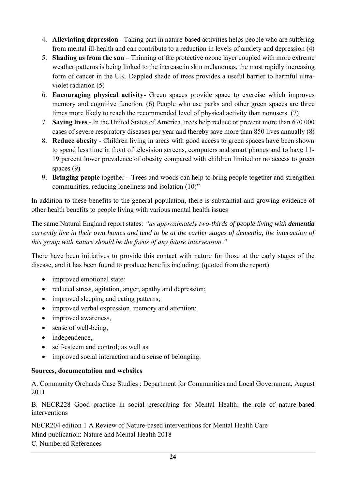- 4. **Alleviating depression** Taking part in nature-based activities helps people who are suffering from mental ill-health and can contribute to a reduction in levels of anxiety and depression (4)
- 5. **Shading us from the sun** Thinning of the protective ozone layer coupled with more extreme weather patterns is being linked to the increase in skin melanomas, the most rapidly increasing form of cancer in the UK. Dappled shade of trees provides a useful barrier to harmful ultraviolet radiation (5)
- 6. **Encouraging physical activity** Green spaces provide space to exercise which improves memory and cognitive function. (6) People who use parks and other green spaces are three times more likely to reach the recommended level of physical activity than nonusers. (7)
- 7. **Saving lives** In the United States of America, trees help reduce or prevent more than 670 000 cases of severe respiratory diseases per year and thereby save more than 850 lives annually (8)
- 8. **Reduce obesity** Children living in areas with good access to green spaces have been shown to spend less time in front of television screens, computers and smart phones and to have 11- 19 percent lower prevalence of obesity compared with children limited or no access to green spaces (9)
- 9. **Bringing people** together Trees and woods can help to bring people together and strengthen communities, reducing loneliness and isolation (10)"

In addition to these benefits to the general population, there is substantial and growing evidence of other health benefits to people living with various mental health issues

The same Natural England report states: *"as approximately two-thirds of people living with dementia currently live in their own homes and tend to be at the earlier stages of dementia, the interaction of this group with nature should be the focus of any future intervention."*

There have been initiatives to provide this contact with nature for those at the early stages of the disease, and it has been found to produce benefits including: (quoted from the report)

- improved emotional state:
- reduced stress, agitation, anger, apathy and depression;
- improved sleeping and eating patterns;
- improved verbal expression, memory and attention;
- improved awareness,
- sense of well-being,
- independence,
- self-esteem and control; as well as
- improved social interaction and a sense of belonging.

## **Sources, documentation and websites**

A. Community Orchards Case Studies : Department for Communities and Local Government, August 2011

B. NECR228 Good practice in social prescribing for Mental Health: the role of nature-based interventions

NECR204 edition 1 A Review of Nature-based interventions for Mental Health Care Mind publication: Nature and Mental Health 2018 C. Numbered References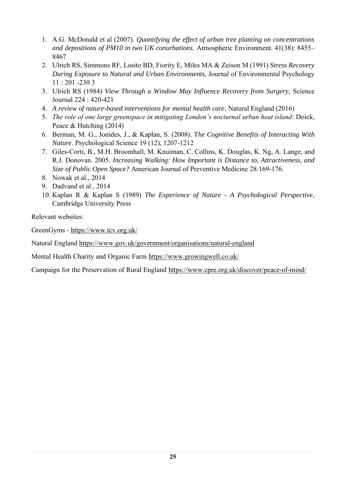- 1. A.G. McDonald et al (2007). *Quantifying the effect of urban tree planting on concentrations and depositions of PM10 in two UK conurbations*. Atmospheric Environment. 41(38): 8455– 8467
- 2. Ulrich RS, Simmons RF, Losito BD, Fiority E, Miles MA & Zeison M (1991) S*tress Recovery During Exposure to Natural and Urban Environments*, Journal of Environmental Psychology 11 : 201 -230 3
- 3. Ulrich RS (1984) *View Through a Window May Influence Recovery from Surgery,* Science Journal 224 : 420-421
- 4. *A review of nature-based interventions for mental health care*, Natural England (2016)
- 5. *The role of one large greenspace in mitigating London's nocturnal urban heat island*: Doick, Peace & Hutching (2014)
- 6. Berman, M. G., Jonides, J., & Kaplan, S. (2008). T*he Cognitive Benefits of Interacting With Nature*. Psychological Science 19 (12), 1207-1212
- 7. Giles-Corti, B., M.H. Broomhall, M. Knuiman, C. Collins, K. Douglas, K. Ng, A. Lange, and R.J. Donovan. 2005. *Increasing Walking: How Important is Distance to, Attractiveness, and Size of Public Open Space?* American Journal of Preventive Medicine 28:169-176.
- 8. Nowak et al., 2014
- 9. Dadvand et al., 2014
- 10. Kaplan R & Kaplan S (1989) *The Experience of Nature - A Psychological Perspective*, Cambridge University Press

Relevant websites:

GreenGyms - <https://www.tcv.org.uk/>

Natural England<https://www.gov.uk/government/organisations/natural-england>

Mental Health Charity and Organic Farm <https://www.growingwell.co.uk/>

Campaign for the Preservation of Rural England<https://www.cpre.org.uk/discover/peace-of-mind/>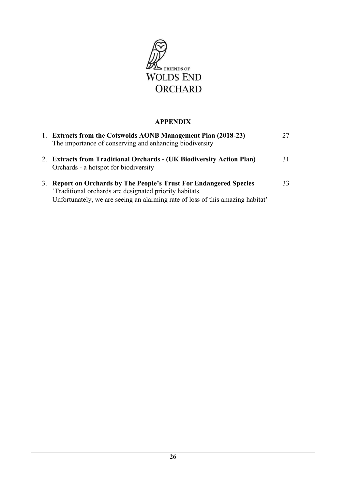

## **APPENDIX**

|    | 1. Extracts from the Cotswolds AONB Management Plan (2018-23)<br>The importance of conserving and enhancing biodiversity                                                                                            | 27 |
|----|---------------------------------------------------------------------------------------------------------------------------------------------------------------------------------------------------------------------|----|
|    | 2. Extracts from Traditional Orchards - (UK Biodiversity Action Plan)<br>Orchards - a hotspot for biodiversity                                                                                                      | 31 |
| 3. | <b>Report on Orchards by The People's Trust For Endangered Species</b><br>'Traditional orchards are designated priority habitats.<br>Unfortunately, we are seeing an alarming rate of loss of this amazing habitat' | 33 |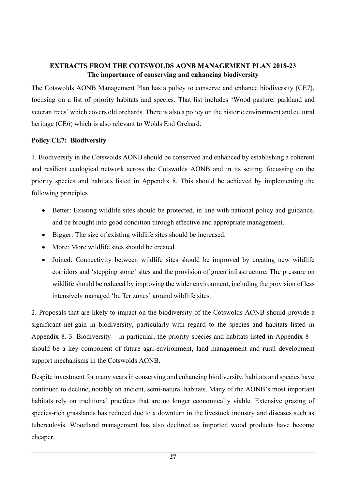## **EXTRACTS FROM THE COTSWOLDS AONB MANAGEMENT PLAN 2018-23 The importance of conserving and enhancing biodiversity**

The Cotswolds AONB Management Plan has a policy to conserve and enhance biodiversity (CE7), focusing on a list of priority habitats and species. That list includes 'Wood pasture, parkland and veteran trees' which covers old orchards. There is also a policy on the historic environment and cultural heritage (CE6) which is also relevant to Wolds End Orchard.

## **Policy CE7: Biodiversity**

1. Biodiversity in the Cotswolds AONB should be conserved and enhanced by establishing a coherent and resilient ecological network across the Cotswolds AONB and in its setting, focussing on the priority species and habitats listed in Appendix 8. This should be achieved by implementing the following principles

- Better: Existing wildlife sites should be protected, in line with national policy and guidance, and be brought into good condition through effective and appropriate management.
- Bigger: The size of existing wildlife sites should be increased.
- More: More wildlife sites should be created.
- Joined: Connectivity between wildlife sites should be improved by creating new wildlife corridors and 'stepping stone' sites and the provision of green infrastructure. The pressure on wildlife should be reduced by improving the wider environment, including the provision of less intensively managed 'buffer zones' around wildlife sites.

2. Proposals that are likely to impact on the biodiversity of the Cotswolds AONB should provide a significant net-gain in biodiversity, particularly with regard to the species and habitats listed in Appendix 8. 3. Biodiversity – in particular, the priority species and habitats listed in Appendix 8 – should be a key component of future agri-environment, land management and rural development support mechanisms in the Cotswolds AONB.

Despite investment for many years in conserving and enhancing biodiversity, habitats and species have continued to decline, notably on ancient, semi-natural habitats. Many of the AONB's most important habitats rely on traditional practices that are no longer economically viable. Extensive grazing of species-rich grasslands has reduced due to a downturn in the livestock industry and diseases such as tuberculosis. Woodland management has also declined as imported wood products have become cheaper.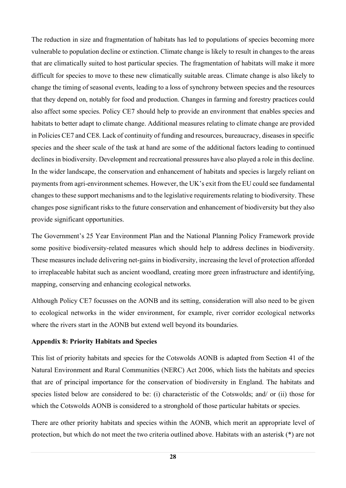The reduction in size and fragmentation of habitats has led to populations of species becoming more vulnerable to population decline or extinction. Climate change is likely to result in changes to the areas that are climatically suited to host particular species. The fragmentation of habitats will make it more difficult for species to move to these new climatically suitable areas. Climate change is also likely to change the timing of seasonal events, leading to a loss of synchrony between species and the resources that they depend on, notably for food and production. Changes in farming and forestry practices could also affect some species. Policy CE7 should help to provide an environment that enables species and habitats to better adapt to climate change. Additional measures relating to climate change are provided in Policies CE7 and CE8. Lack of continuity of funding and resources, bureaucracy, diseases in specific species and the sheer scale of the task at hand are some of the additional factors leading to continued declines in biodiversity. Development and recreational pressures have also played a role in this decline. In the wider landscape, the conservation and enhancement of habitats and species is largely reliant on payments from agri-environment schemes. However, the UK's exit from the EU could see fundamental changes to these support mechanisms and to the legislative requirements relating to biodiversity. These changes pose significant risks to the future conservation and enhancement of biodiversity but they also provide significant opportunities.

The Government's 25 Year Environment Plan and the National Planning Policy Framework provide some positive biodiversity-related measures which should help to address declines in biodiversity. These measures include delivering net-gains in biodiversity, increasing the level of protection afforded to irreplaceable habitat such as ancient woodland, creating more green infrastructure and identifying, mapping, conserving and enhancing ecological networks.

Although Policy CE7 focusses on the AONB and its setting, consideration will also need to be given to ecological networks in the wider environment, for example, river corridor ecological networks where the rivers start in the AONB but extend well beyond its boundaries.

## **Appendix 8: Priority Habitats and Species**

This list of priority habitats and species for the Cotswolds AONB is adapted from Section 41 of the Natural Environment and Rural Communities (NERC) Act 2006, which lists the habitats and species that are of principal importance for the conservation of biodiversity in England. The habitats and species listed below are considered to be: (i) characteristic of the Cotswolds; and/ or (ii) those for which the Cotswolds AONB is considered to a stronghold of those particular habitats or species.

There are other priority habitats and species within the AONB, which merit an appropriate level of protection, but which do not meet the two criteria outlined above. Habitats with an asterisk (\*) are not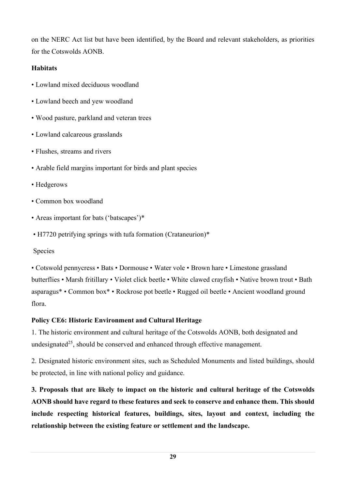on the NERC Act list but have been identified, by the Board and relevant stakeholders, as priorities for the Cotswolds AONB.

## **Habitats**

- Lowland mixed deciduous woodland
- Lowland beech and yew woodland
- Wood pasture, parkland and veteran trees
- Lowland calcareous grasslands
- Flushes, streams and rivers
- Arable field margins important for birds and plant species
- Hedgerows
- Common box woodland
- Areas important for bats ('batscapes')\*
- H7720 petrifying springs with tufa formation (Crataneurion)\*

Species

• Cotswold pennycress • Bats • Dormouse • Water vole • Brown hare • Limestone grassland butterflies • Marsh fritillary • Violet click beetle • White clawed crayfish • Native brown trout • Bath asparagus\* • Common box\* • Rockrose pot beetle • Rugged oil beetle • Ancient woodland ground flora.

## **Policy CE6: Historic Environment and Cultural Heritage**

1. The historic environment and cultural heritage of the Cotswolds AONB, both designated and undesignated<sup>25</sup>, should be conserved and enhanced through effective management.

2. Designated historic environment sites, such as Scheduled Monuments and listed buildings, should be protected, in line with national policy and guidance.

**3. Proposals that are likely to impact on the historic and cultural heritage of the Cotswolds AONB should have regard to these features and seek to conserve and enhance them. This should include respecting historical features, buildings, sites, layout and context, including the relationship between the existing feature or settlement and the landscape.**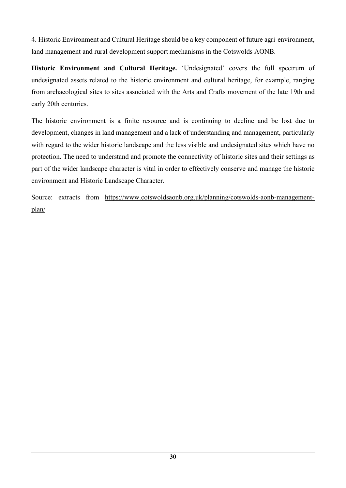4. Historic Environment and Cultural Heritage should be a key component of future agri-environment, land management and rural development support mechanisms in the Cotswolds AONB.

**Historic Environment and Cultural Heritage.** 'Undesignated' covers the full spectrum of undesignated assets related to the historic environment and cultural heritage, for example, ranging from archaeological sites to sites associated with the Arts and Crafts movement of the late 19th and early 20th centuries.

The historic environment is a finite resource and is continuing to decline and be lost due to development, changes in land management and a lack of understanding and management, particularly with regard to the wider historic landscape and the less visible and undesignated sites which have no protection. The need to understand and promote the connectivity of historic sites and their settings as part of the wider landscape character is vital in order to effectively conserve and manage the historic environment and Historic Landscape Character.

Source: extracts from [https://www.cotswoldsaonb.org.uk/planning/cotswolds-aonb-management](https://www.cotswoldsaonb.org.uk/planning/cotswolds-aonb-management-plan/)[plan/](https://www.cotswoldsaonb.org.uk/planning/cotswolds-aonb-management-plan/)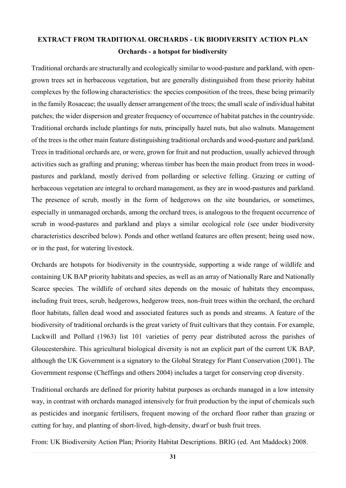# **EXTRACT FROM TRADITIONAL ORCHARDS - UK BIODIVERSITY ACTION PLAN Orchards - a hotspot for biodiversity**

Traditional orchards are structurally and ecologically similar to wood-pasture and parkland, with opengrown trees set in herbaceous vegetation, but are generally distinguished from these priority habitat complexes by the following characteristics: the species composition of the trees, these being primarily in the family Rosaceae; the usually denser arrangement of the trees; the small scale of individual habitat patches; the wider dispersion and greater frequency of occurrence of habitat patches in the countryside. Traditional orchards include plantings for nuts, principally hazel nuts, but also walnuts. Management of the trees is the other main feature distinguishing traditional orchards and wood-pasture and parkland. Trees in traditional orchards are, or were, grown for fruit and nut production, usually achieved through activities such as grafting and pruning; whereas timber has been the main product from trees in woodpastures and parkland, mostly derived from pollarding or selective felling. Grazing or cutting of herbaceous vegetation are integral to orchard management, as they are in wood-pastures and parkland. The presence of scrub, mostly in the form of hedgerows on the site boundaries, or sometimes, especially in unmanaged orchards, among the orchard trees, is analogous to the frequent occurrence of scrub in wood-pastures and parkland and plays a similar ecological role (see under biodiversity characteristics described below). Ponds and other wetland features are often present; being used now, or in the past, for watering livestock.

Orchards are hotspots for biodiversity in the countryside, supporting a wide range of wildlife and containing UK BAP priority habitats and species, as well as an array of Nationally Rare and Nationally Scarce species. The wildlife of orchard sites depends on the mosaic of habitats they encompass, including fruit trees, scrub, hedgerows, hedgerow trees, non-fruit trees within the orchard, the orchard floor habitats, fallen dead wood and associated features such as ponds and streams. A feature of the biodiversity of traditional orchards is the great variety of fruit cultivars that they contain. For example, Luckwill and Pollard (1963) list 101 varieties of perry pear distributed across the parishes of Gloucestershire. This agricultural biological diversity is not an explicit part of the current UK BAP, although the UK Government is a signatory to the Global Strategy for Plant Conservation (2001). The Government response (Cheffings and others 2004) includes a target for conserving crop diversity.

Traditional orchards are defined for priority habitat purposes as orchards managed in a low intensity way, in contrast with orchards managed intensively for fruit production by the input of chemicals such as pesticides and inorganic fertilisers, frequent mowing of the orchard floor rather than grazing or cutting for hay, and planting of short-lived, high-density, dwarf or bush fruit trees.

From: UK Biodiversity Action Plan; Priority Habitat Descriptions. BRIG (ed. Ant Maddock) 2008.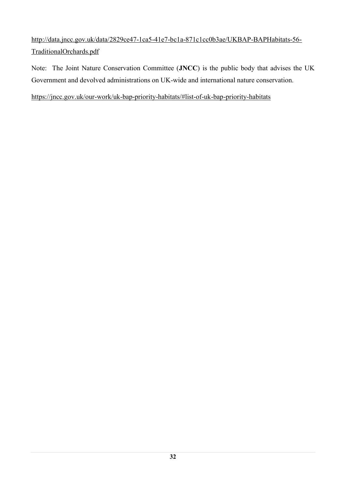[http://data.jncc.gov.uk/data/2829ce47-1ca5-41e7-bc1a-871c1cc0b3ae/UKBAP-BAPHabitats-56-](http://data.jncc.gov.uk/data/2829ce47-1ca5-41e7-bc1a-871c1cc0b3ae/UKBAP-BAPHabitats-56-TraditionalOrchards.pdf) [TraditionalOrchards.pdf](http://data.jncc.gov.uk/data/2829ce47-1ca5-41e7-bc1a-871c1cc0b3ae/UKBAP-BAPHabitats-56-TraditionalOrchards.pdf)

Note: The Joint Nature Conservation Committee (**JNCC**) is the public body that advises the UK Government and devolved administrations on UK-wide and international nature conservation.

<https://jncc.gov.uk/our-work/uk-bap-priority-habitats/#list-of-uk-bap-priority-habitats>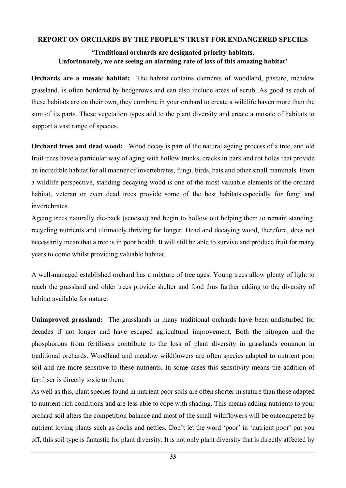#### **REPORT ON ORCHARDS BY THE PEOPLE'S TRUST FOR ENDANGERED SPECIES**

#### **'Traditional orchards are designated priority habitats. Unfortunately, we are seeing an alarming rate of loss of this amazing habitat'**

**Orchards are a mosaic habitat:** The habitat contains elements of woodland, pasture, meadow grassland, is often bordered by hedgerows and can also include areas of scrub. As good as each of these habitats are on their own, they combine in your orchard to create a wildlife haven more than the sum of its parts. These vegetation types add to the plant diversity and create a mosaic of habitats to support a vast range of species.

**Orchard trees and dead wood:** Wood decay is part of the natural ageing process of a tree, and old fruit trees have a particular way of aging with hollow trunks, cracks in bark and rot holes that provide an incredible habitat for all manner of invertebrates, fungi, birds, bats and other small mammals. From a wildlife perspective, standing decaying wood is one of the most valuable elements of the orchard habitat, veteran or even dead trees provide some of the best habitats especially for fungi and invertebrates.

Ageing trees naturally die-back (senesce) and begin to hollow out helping them to remain standing, recycling nutrients and ultimately thriving for longer. Dead and decaying wood, therefore, does not necessarily mean that a tree is in poor health. It will still be able to survive and produce fruit for many years to come whilst providing valuable habitat.

A well-managed established orchard has a mixture of tree ages. Young trees allow plenty of light to reach the grassland and older trees provide shelter and food thus further adding to the diversity of habitat available for nature.

**Unimproved grassland:** The grasslands in many traditional orchards have been undisturbed for decades if not longer and have escaped agricultural improvement. Both the nitrogen and the phosphorous from fertilisers contribute to the loss of plant diversity in grasslands common in traditional orchards. Woodland and meadow wildflowers are often species adapted to nutrient poor soil and are more sensitive to these nutrients. In some cases this sensitivity means the addition of fertiliser is directly toxic to them.

As well as this, plant species found in nutrient poor soils are often shorter in stature than those adapted to nutrient rich conditions and are less able to cope with shading. This means adding nutrients to your orchard soil alters the competition balance and most of the small wildflowers will be outcompeted by nutrient loving plants such as docks and nettles. Don't let the word 'poor' in 'nutrient poor' put you off, this soil type is fantastic for plant diversity. It is not only plant diversity that is directly affected by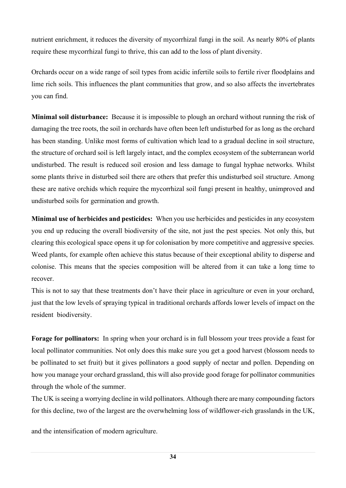nutrient enrichment, it reduces the diversity of mycorrhizal fungi in the soil. As nearly 80% of plants require these mycorrhizal fungi to thrive, this can add to the loss of plant diversity.

Orchards occur on a wide range of soil types from acidic infertile soils to fertile river floodplains and lime rich soils. This influences the plant communities that grow, and so also affects the invertebrates you can find.

**Minimal soil disturbance:** Because it is impossible to plough an orchard without running the risk of damaging the tree roots, the soil in orchards have often been left undisturbed for as long as the orchard has been standing. Unlike most forms of cultivation which lead to a gradual decline in soil structure, the structure of orchard soil is left largely intact, and the complex ecosystem of the subterranean world undisturbed. The result is reduced soil erosion and less damage to fungal hyphae networks. Whilst some plants thrive in disturbed soil there are others that prefer this undisturbed soil structure. Among these are native orchids which require the mycorrhizal soil fungi present in healthy, unimproved and undisturbed soils for germination and growth.

**Minimal use of herbicides and pesticides:** When you use herbicides and pesticides in any ecosystem you end up reducing the overall biodiversity of the site, not just the pest species. Not only this, but clearing this ecological space opens it up for colonisation by more competitive and aggressive species. Weed plants, for example often achieve this status because of their exceptional ability to disperse and colonise. This means that the species composition will be altered from it can take a long time to recover.

This is not to say that these treatments don't have their place in agriculture or even in your orchard, just that the low levels of spraying typical in traditional orchards affords lower levels of impact on the resident biodiversity.

**Forage for pollinators:** In spring when your orchard is in full blossom your trees provide a feast for local pollinator communities. Not only does this make sure you get a good harvest (blossom needs to be pollinated to set fruit) but it gives pollinators a good supply of nectar and pollen. Depending on how you manage your orchard grassland, this will also provide good forage for pollinator communities through the whole of the summer.

The UK is seeing a worrying decline in wild pollinators. Although there are many compounding factors for this decline, two of the largest are the overwhelming loss of wildflower-rich grasslands in the UK,

and the intensification of modern agriculture.